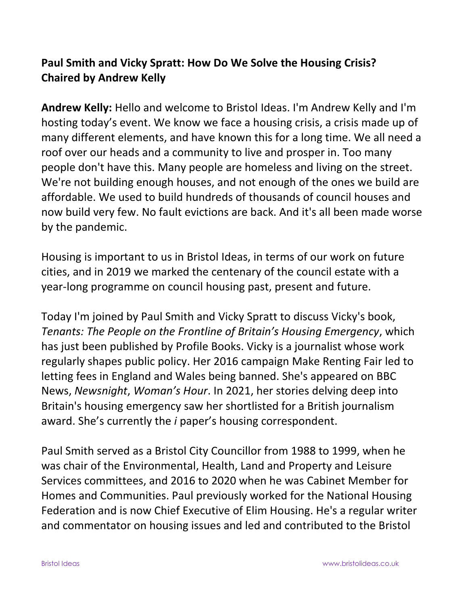## **Paul Smith and Vicky Spratt: How Do We Solve the Housing Crisis? Chaired by Andrew Kelly**

**Andrew Kelly:** Hello and welcome to Bristol Ideas. I'm Andrew Kelly and I'm hosting today's event. We know we face a housing crisis, a crisis made up of many different elements, and have known this for a long time. We all need a roof over our heads and a community to live and prosper in. Too many people don't have this. Many people are homeless and living on the street. We're not building enough houses, and not enough of the ones we build are affordable. We used to build hundreds of thousands of council houses and now build very few. No fault evictions are back. And it's all been made worse by the pandemic.

Housing is important to us in Bristol Ideas, in terms of our work on future cities, and in 2019 we marked the centenary of the council estate with a year-long programme on council housing past, present and future.

Today I'm joined by Paul Smith and Vicky Spratt to discuss Vicky's book, *Tenants: The People on the Frontline of Britain's Housing Emergency*, which has just been published by Profile Books. Vicky is a journalist whose work regularly shapes public policy. Her 2016 campaign Make Renting Fair led to letting fees in England and Wales being banned. She's appeared on BBC News, *Newsnight*, *Woman's Hour*. In 2021, her stories delving deep into Britain's housing emergency saw her shortlisted for a British journalism award. She's currently the *i* paper's housing correspondent.

Paul Smith served as a Bristol City Councillor from 1988 to 1999, when he was chair of the Environmental, Health, Land and Property and Leisure Services committees, and 2016 to 2020 when he was Cabinet Member for Homes and Communities. Paul previously worked for the National Housing Federation and is now Chief Executive of Elim Housing. He's a regular writer and commentator on housing issues and led and contributed to the Bristol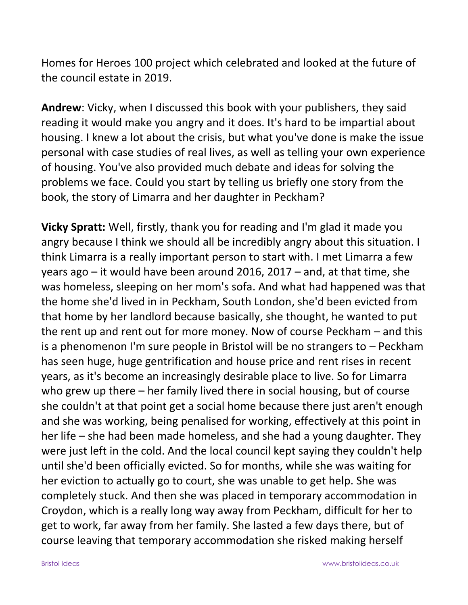Homes for Heroes 100 project which celebrated and looked at the future of the council estate in 2019.

**Andrew**: Vicky, when I discussed this book with your publishers, they said reading it would make you angry and it does. It's hard to be impartial about housing. I knew a lot about the crisis, but what you've done is make the issue personal with case studies of real lives, as well as telling your own experience of housing. You've also provided much debate and ideas for solving the problems we face. Could you start by telling us briefly one story from the book, the story of Limarra and her daughter in Peckham?

**Vicky Spratt:** Well, firstly, thank you for reading and I'm glad it made you angry because I think we should all be incredibly angry about this situation. I think Limarra is a really important person to start with. I met Limarra a few years ago – it would have been around 2016, 2017 – and, at that time, she was homeless, sleeping on her mom's sofa. And what had happened was that the home she'd lived in in Peckham, South London, she'd been evicted from that home by her landlord because basically, she thought, he wanted to put the rent up and rent out for more money. Now of course Peckham – and this is a phenomenon I'm sure people in Bristol will be no strangers to – Peckham has seen huge, huge gentrification and house price and rent rises in recent years, as it's become an increasingly desirable place to live. So for Limarra who grew up there – her family lived there in social housing, but of course she couldn't at that point get a social home because there just aren't enough and she was working, being penalised for working, effectively at this point in her life – she had been made homeless, and she had a young daughter. They were just left in the cold. And the local council kept saying they couldn't help until she'd been officially evicted. So for months, while she was waiting for her eviction to actually go to court, she was unable to get help. She was completely stuck. And then she was placed in temporary accommodation in Croydon, which is a really long way away from Peckham, difficult for her to get to work, far away from her family. She lasted a few days there, but of course leaving that temporary accommodation she risked making herself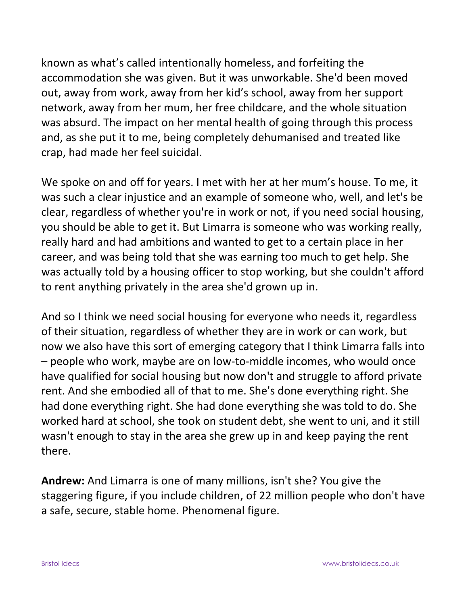known as what's called intentionally homeless, and forfeiting the accommodation she was given. But it was unworkable. She'd been moved out, away from work, away from her kid's school, away from her support network, away from her mum, her free childcare, and the whole situation was absurd. The impact on her mental health of going through this process and, as she put it to me, being completely dehumanised and treated like crap, had made her feel suicidal.

We spoke on and off for years. I met with her at her mum's house. To me, it was such a clear injustice and an example of someone who, well, and let's be clear, regardless of whether you're in work or not, if you need social housing, you should be able to get it. But Limarra is someone who was working really, really hard and had ambitions and wanted to get to a certain place in her career, and was being told that she was earning too much to get help. She was actually told by a housing officer to stop working, but she couldn't afford to rent anything privately in the area she'd grown up in.

And so I think we need social housing for everyone who needs it, regardless of their situation, regardless of whether they are in work or can work, but now we also have this sort of emerging category that I think Limarra falls into – people who work, maybe are on low-to-middle incomes, who would once have qualified for social housing but now don't and struggle to afford private rent. And she embodied all of that to me. She's done everything right. She had done everything right. She had done everything she was told to do. She worked hard at school, she took on student debt, she went to uni, and it still wasn't enough to stay in the area she grew up in and keep paying the rent there.

**Andrew:** And Limarra is one of many millions, isn't she? You give the staggering figure, if you include children, of 22 million people who don't have a safe, secure, stable home. Phenomenal figure.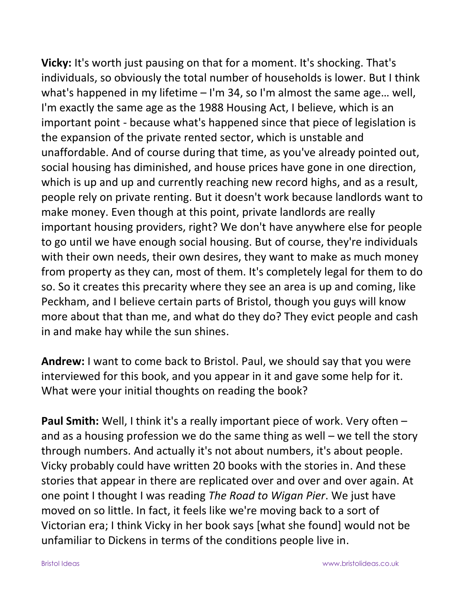**Vicky:** It's worth just pausing on that for a moment. It's shocking. That's individuals, so obviously the total number of households is lower. But I think what's happened in my lifetime – I'm 34, so I'm almost the same age… well, I'm exactly the same age as the 1988 Housing Act, I believe, which is an important point - because what's happened since that piece of legislation is the expansion of the private rented sector, which is unstable and unaffordable. And of course during that time, as you've already pointed out, social housing has diminished, and house prices have gone in one direction, which is up and up and currently reaching new record highs, and as a result, people rely on private renting. But it doesn't work because landlords want to make money. Even though at this point, private landlords are really important housing providers, right? We don't have anywhere else for people to go until we have enough social housing. But of course, they're individuals with their own needs, their own desires, they want to make as much money from property as they can, most of them. It's completely legal for them to do so. So it creates this precarity where they see an area is up and coming, like Peckham, and I believe certain parts of Bristol, though you guys will know more about that than me, and what do they do? They evict people and cash in and make hay while the sun shines.

**Andrew:** I want to come back to Bristol. Paul, we should say that you were interviewed for this book, and you appear in it and gave some help for it. What were your initial thoughts on reading the book?

**Paul Smith:** Well, I think it's a really important piece of work. Very often – and as a housing profession we do the same thing as well – we tell the story through numbers. And actually it's not about numbers, it's about people. Vicky probably could have written 20 books with the stories in. And these stories that appear in there are replicated over and over and over again. At one point I thought I was reading *The Road to Wigan Pier*. We just have moved on so little. In fact, it feels like we're moving back to a sort of Victorian era; I think Vicky in her book says [what she found] would not be unfamiliar to Dickens in terms of the conditions people live in.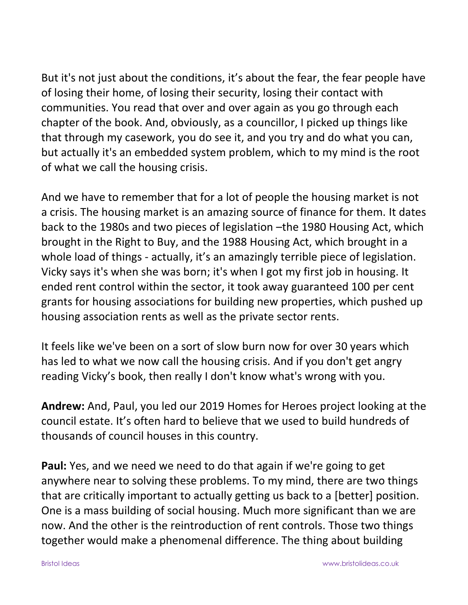But it's not just about the conditions, it's about the fear, the fear people have of losing their home, of losing their security, losing their contact with communities. You read that over and over again as you go through each chapter of the book. And, obviously, as a councillor, I picked up things like that through my casework, you do see it, and you try and do what you can, but actually it's an embedded system problem, which to my mind is the root of what we call the housing crisis.

And we have to remember that for a lot of people the housing market is not a crisis. The housing market is an amazing source of finance for them. It dates back to the 1980s and two pieces of legislation –the 1980 Housing Act, which brought in the Right to Buy, and the 1988 Housing Act, which brought in a whole load of things - actually, it's an amazingly terrible piece of legislation. Vicky says it's when she was born; it's when I got my first job in housing. It ended rent control within the sector, it took away guaranteed 100 per cent grants for housing associations for building new properties, which pushed up housing association rents as well as the private sector rents.

It feels like we've been on a sort of slow burn now for over 30 years which has led to what we now call the housing crisis. And if you don't get angry reading Vicky's book, then really I don't know what's wrong with you.

**Andrew:** And, Paul, you led our 2019 Homes for Heroes project looking at the council estate. It's often hard to believe that we used to build hundreds of thousands of council houses in this country.

**Paul:** Yes, and we need we need to do that again if we're going to get anywhere near to solving these problems. To my mind, there are two things that are critically important to actually getting us back to a [better] position. One is a mass building of social housing. Much more significant than we are now. And the other is the reintroduction of rent controls. Those two things together would make a phenomenal difference. The thing about building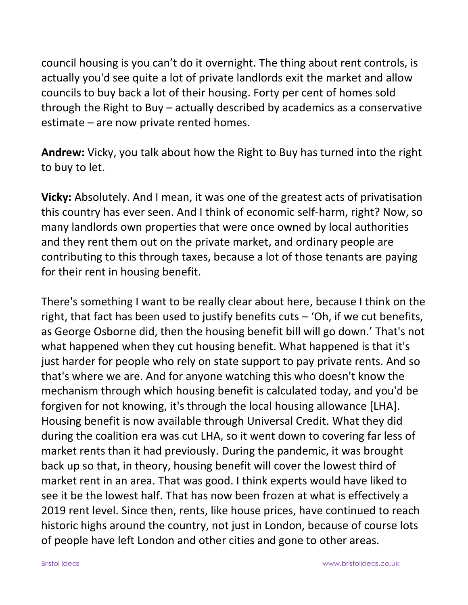council housing is you can't do it overnight. The thing about rent controls, is actually you'd see quite a lot of private landlords exit the market and allow councils to buy back a lot of their housing. Forty per cent of homes sold through the Right to Buy – actually described by academics as a conservative estimate – are now private rented homes.

**Andrew:** Vicky, you talk about how the Right to Buy has turned into the right to buy to let.

**Vicky:** Absolutely. And I mean, it was one of the greatest acts of privatisation this country has ever seen. And I think of economic self-harm, right? Now, so many landlords own properties that were once owned by local authorities and they rent them out on the private market, and ordinary people are contributing to this through taxes, because a lot of those tenants are paying for their rent in housing benefit.

There's something I want to be really clear about here, because I think on the right, that fact has been used to justify benefits cuts – 'Oh, if we cut benefits, as George Osborne did, then the housing benefit bill will go down.' That's not what happened when they cut housing benefit. What happened is that it's just harder for people who rely on state support to pay private rents. And so that's where we are. And for anyone watching this who doesn't know the mechanism through which housing benefit is calculated today, and you'd be forgiven for not knowing, it's through the local housing allowance [LHA]. Housing benefit is now available through Universal Credit. What they did during the coalition era was cut LHA, so it went down to covering far less of market rents than it had previously. During the pandemic, it was brought back up so that, in theory, housing benefit will cover the lowest third of market rent in an area. That was good. I think experts would have liked to see it be the lowest half. That has now been frozen at what is effectively a 2019 rent level. Since then, rents, like house prices, have continued to reach historic highs around the country, not just in London, because of course lots of people have left London and other cities and gone to other areas.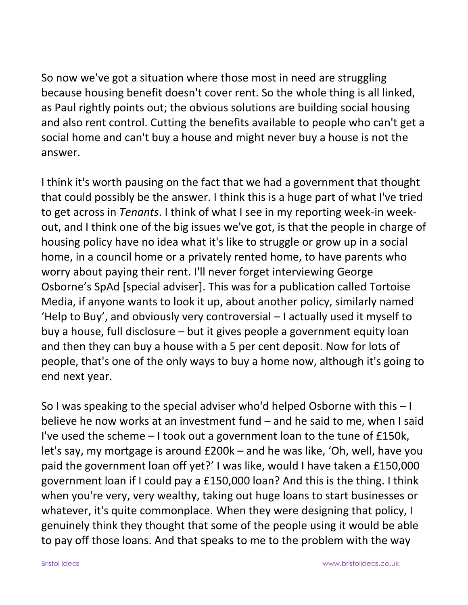So now we've got a situation where those most in need are struggling because housing benefit doesn't cover rent. So the whole thing is all linked, as Paul rightly points out; the obvious solutions are building social housing and also rent control. Cutting the benefits available to people who can't get a social home and can't buy a house and might never buy a house is not the answer.

I think it's worth pausing on the fact that we had a government that thought that could possibly be the answer. I think this is a huge part of what I've tried to get across in *Tenants*. I think of what I see in my reporting week-in weekout, and I think one of the big issues we've got, is that the people in charge of housing policy have no idea what it's like to struggle or grow up in a social home, in a council home or a privately rented home, to have parents who worry about paying their rent. I'll never forget interviewing George Osborne's SpAd [special adviser]. This was for a publication called Tortoise Media, if anyone wants to look it up, about another policy, similarly named 'Help to Buy', and obviously very controversial – I actually used it myself to buy a house, full disclosure – but it gives people a government equity loan and then they can buy a house with a 5 per cent deposit. Now for lots of people, that's one of the only ways to buy a home now, although it's going to end next year.

So I was speaking to the special adviser who'd helped Osborne with this – I believe he now works at an investment fund – and he said to me, when I said I've used the scheme – I took out a government loan to the tune of £150k, let's say, my mortgage is around £200k – and he was like, 'Oh, well, have you paid the government loan off yet?' I was like, would I have taken a £150,000 government loan if I could pay a £150,000 loan? And this is the thing. I think when you're very, very wealthy, taking out huge loans to start businesses or whatever, it's quite commonplace. When they were designing that policy, I genuinely think they thought that some of the people using it would be able to pay off those loans. And that speaks to me to the problem with the way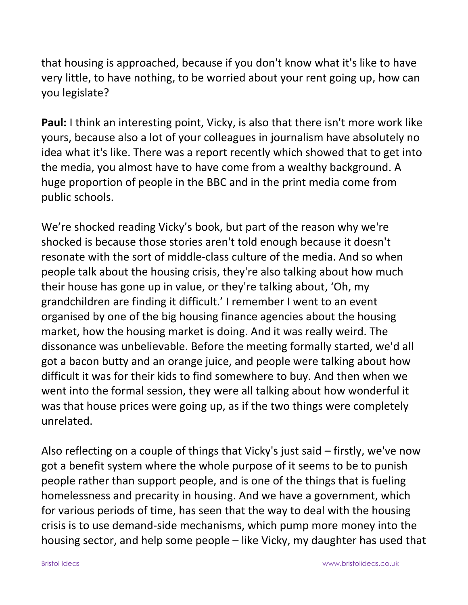that housing is approached, because if you don't know what it's like to have very little, to have nothing, to be worried about your rent going up, how can you legislate?

**Paul:** I think an interesting point, Vicky, is also that there isn't more work like yours, because also a lot of your colleagues in journalism have absolutely no idea what it's like. There was a report recently which showed that to get into the media, you almost have to have come from a wealthy background. A huge proportion of people in the BBC and in the print media come from public schools.

We're shocked reading Vicky's book, but part of the reason why we're shocked is because those stories aren't told enough because it doesn't resonate with the sort of middle-class culture of the media. And so when people talk about the housing crisis, they're also talking about how much their house has gone up in value, or they're talking about, 'Oh, my grandchildren are finding it difficult.' I remember I went to an event organised by one of the big housing finance agencies about the housing market, how the housing market is doing. And it was really weird. The dissonance was unbelievable. Before the meeting formally started, we'd all got a bacon butty and an orange juice, and people were talking about how difficult it was for their kids to find somewhere to buy. And then when we went into the formal session, they were all talking about how wonderful it was that house prices were going up, as if the two things were completely unrelated.

Also reflecting on a couple of things that Vicky's just said – firstly, we've now got a benefit system where the whole purpose of it seems to be to punish people rather than support people, and is one of the things that is fueling homelessness and precarity in housing. And we have a government, which for various periods of time, has seen that the way to deal with the housing crisis is to use demand-side mechanisms, which pump more money into the housing sector, and help some people – like Vicky, my daughter has used that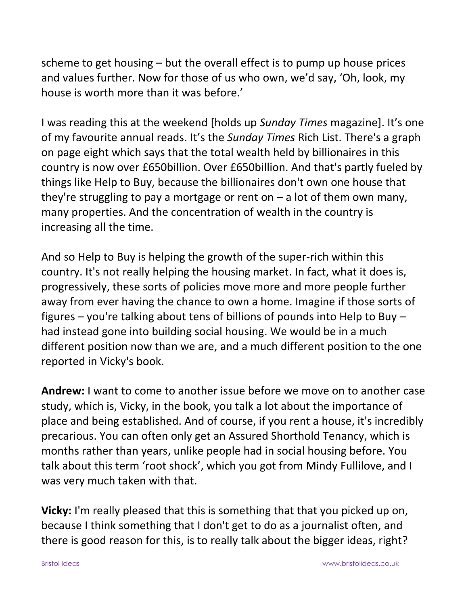scheme to get housing – but the overall effect is to pump up house prices and values further. Now for those of us who own, we'd say, 'Oh, look, my house is worth more than it was before.'

I was reading this at the weekend [holds up *Sunday Times* magazine]. It's one of my favourite annual reads. It's the *Sunday Times* Rich List. There's a graph on page eight which says that the total wealth held by billionaires in this country is now over £650billion. Over £650billion. And that's partly fueled by things like Help to Buy, because the billionaires don't own one house that they're struggling to pay a mortgage or rent on  $-$  a lot of them own many, many properties. And the concentration of wealth in the country is increasing all the time.

And so Help to Buy is helping the growth of the super-rich within this country. It's not really helping the housing market. In fact, what it does is, progressively, these sorts of policies move more and more people further away from ever having the chance to own a home. Imagine if those sorts of figures – you're talking about tens of billions of pounds into Help to Buy – had instead gone into building social housing. We would be in a much different position now than we are, and a much different position to the one reported in Vicky's book.

**Andrew:** I want to come to another issue before we move on to another case study, which is, Vicky, in the book, you talk a lot about the importance of place and being established. And of course, if you rent a house, it's incredibly precarious. You can often only get an Assured Shorthold Tenancy, which is months rather than years, unlike people had in social housing before. You talk about this term 'root shock', which you got from Mindy Fullilove, and I was very much taken with that.

**Vicky:** I'm really pleased that this is something that that you picked up on, because I think something that I don't get to do as a journalist often, and there is good reason for this, is to really talk about the bigger ideas, right?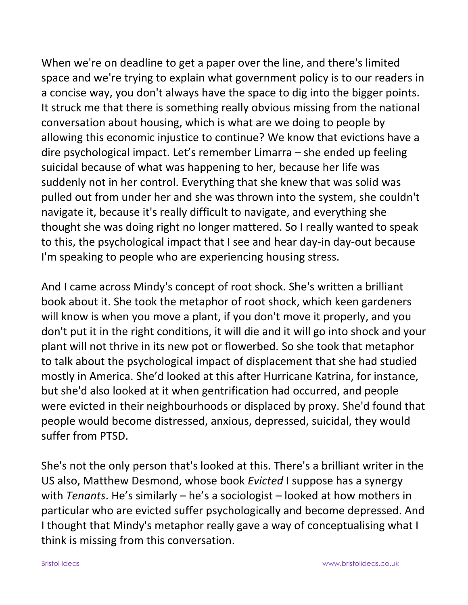When we're on deadline to get a paper over the line, and there's limited space and we're trying to explain what government policy is to our readers in a concise way, you don't always have the space to dig into the bigger points. It struck me that there is something really obvious missing from the national conversation about housing, which is what are we doing to people by allowing this economic injustice to continue? We know that evictions have a dire psychological impact. Let's remember Limarra – she ended up feeling suicidal because of what was happening to her, because her life was suddenly not in her control. Everything that she knew that was solid was pulled out from under her and she was thrown into the system, she couldn't navigate it, because it's really difficult to navigate, and everything she thought she was doing right no longer mattered. So I really wanted to speak to this, the psychological impact that I see and hear day-in day-out because I'm speaking to people who are experiencing housing stress.

And I came across Mindy's concept of root shock. She's written a brilliant book about it. She took the metaphor of root shock, which keen gardeners will know is when you move a plant, if you don't move it properly, and you don't put it in the right conditions, it will die and it will go into shock and your plant will not thrive in its new pot or flowerbed. So she took that metaphor to talk about the psychological impact of displacement that she had studied mostly in America. She'd looked at this after Hurricane Katrina, for instance, but she'd also looked at it when gentrification had occurred, and people were evicted in their neighbourhoods or displaced by proxy. She'd found that people would become distressed, anxious, depressed, suicidal, they would suffer from PTSD.

She's not the only person that's looked at this. There's a brilliant writer in the US also, Matthew Desmond, whose book *Evicted* I suppose has a synergy with *Tenants*. He's similarly – he's a sociologist – looked at how mothers in particular who are evicted suffer psychologically and become depressed. And I thought that Mindy's metaphor really gave a way of conceptualising what I think is missing from this conversation.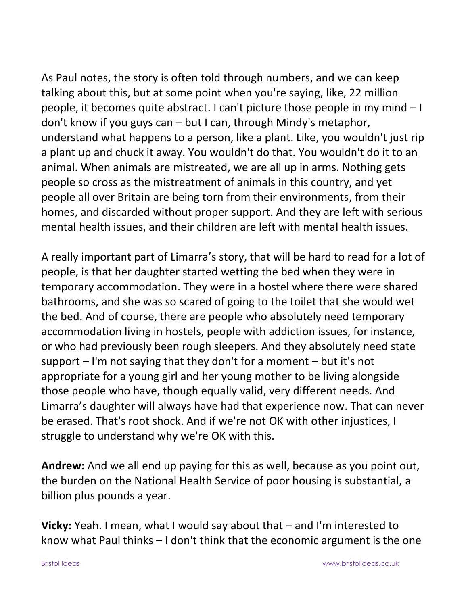As Paul notes, the story is often told through numbers, and we can keep talking about this, but at some point when you're saying, like, 22 million people, it becomes quite abstract. I can't picture those people in my mind – I don't know if you guys can – but I can, through Mindy's metaphor, understand what happens to a person, like a plant. Like, you wouldn't just rip a plant up and chuck it away. You wouldn't do that. You wouldn't do it to an animal. When animals are mistreated, we are all up in arms. Nothing gets people so cross as the mistreatment of animals in this country, and yet people all over Britain are being torn from their environments, from their homes, and discarded without proper support. And they are left with serious mental health issues, and their children are left with mental health issues.

A really important part of Limarra's story, that will be hard to read for a lot of people, is that her daughter started wetting the bed when they were in temporary accommodation. They were in a hostel where there were shared bathrooms, and she was so scared of going to the toilet that she would wet the bed. And of course, there are people who absolutely need temporary accommodation living in hostels, people with addiction issues, for instance, or who had previously been rough sleepers. And they absolutely need state support – I'm not saying that they don't for a moment – but it's not appropriate for a young girl and her young mother to be living alongside those people who have, though equally valid, very different needs. And Limarra's daughter will always have had that experience now. That can never be erased. That's root shock. And if we're not OK with other injustices, I struggle to understand why we're OK with this.

**Andrew:** And we all end up paying for this as well, because as you point out, the burden on the National Health Service of poor housing is substantial, a billion plus pounds a year.

**Vicky:** Yeah. I mean, what I would say about that – and I'm interested to know what Paul thinks – I don't think that the economic argument is the one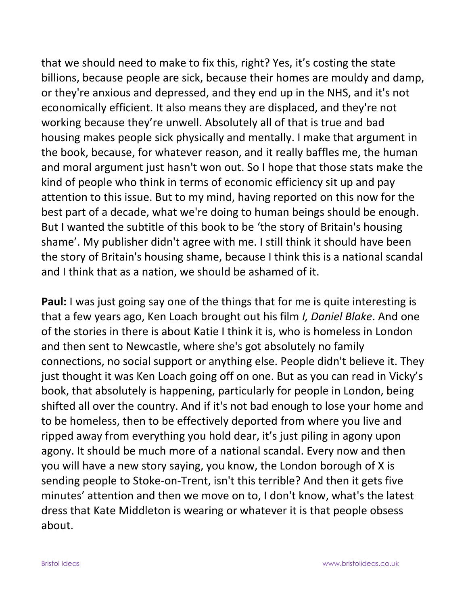that we should need to make to fix this, right? Yes, it's costing the state billions, because people are sick, because their homes are mouldy and damp, or they're anxious and depressed, and they end up in the NHS, and it's not economically efficient. It also means they are displaced, and they're not working because they're unwell. Absolutely all of that is true and bad housing makes people sick physically and mentally. I make that argument in the book, because, for whatever reason, and it really baffles me, the human and moral argument just hasn't won out. So I hope that those stats make the kind of people who think in terms of economic efficiency sit up and pay attention to this issue. But to my mind, having reported on this now for the best part of a decade, what we're doing to human beings should be enough. But I wanted the subtitle of this book to be 'the story of Britain's housing shame'. My publisher didn't agree with me. I still think it should have been the story of Britain's housing shame, because I think this is a national scandal and I think that as a nation, we should be ashamed of it.

**Paul:** I was just going say one of the things that for me is quite interesting is that a few years ago, Ken Loach brought out his film *I, Daniel Blake*. And one of the stories in there is about Katie I think it is, who is homeless in London and then sent to Newcastle, where she's got absolutely no family connections, no social support or anything else. People didn't believe it. They just thought it was Ken Loach going off on one. But as you can read in Vicky's book, that absolutely is happening, particularly for people in London, being shifted all over the country. And if it's not bad enough to lose your home and to be homeless, then to be effectively deported from where you live and ripped away from everything you hold dear, it's just piling in agony upon agony. It should be much more of a national scandal. Every now and then you will have a new story saying, you know, the London borough of X is sending people to Stoke-on-Trent, isn't this terrible? And then it gets five minutes' attention and then we move on to, I don't know, what's the latest dress that Kate Middleton is wearing or whatever it is that people obsess about.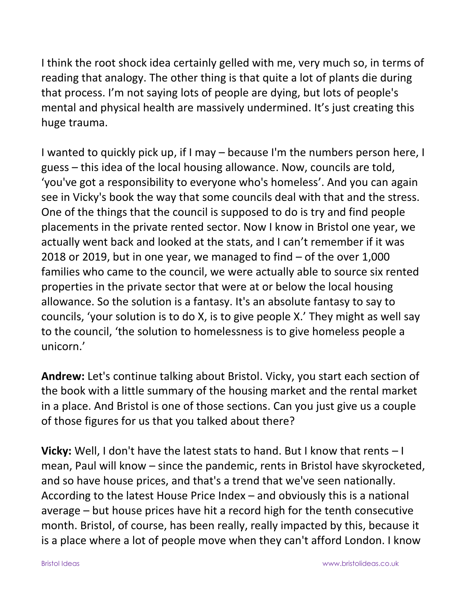I think the root shock idea certainly gelled with me, very much so, in terms of reading that analogy. The other thing is that quite a lot of plants die during that process. I'm not saying lots of people are dying, but lots of people's mental and physical health are massively undermined. It's just creating this huge trauma.

I wanted to quickly pick up, if I may – because I'm the numbers person here, I guess – this idea of the local housing allowance. Now, councils are told, 'you've got a responsibility to everyone who's homeless'. And you can again see in Vicky's book the way that some councils deal with that and the stress. One of the things that the council is supposed to do is try and find people placements in the private rented sector. Now I know in Bristol one year, we actually went back and looked at the stats, and I can't remember if it was 2018 or 2019, but in one year, we managed to find – of the over 1,000 families who came to the council, we were actually able to source six rented properties in the private sector that were at or below the local housing allowance. So the solution is a fantasy. It's an absolute fantasy to say to councils, 'your solution is to do X, is to give people X.' They might as well say to the council, 'the solution to homelessness is to give homeless people a unicorn.'

**Andrew:** Let's continue talking about Bristol. Vicky, you start each section of the book with a little summary of the housing market and the rental market in a place. And Bristol is one of those sections. Can you just give us a couple of those figures for us that you talked about there?

**Vicky:** Well, I don't have the latest stats to hand. But I know that rents – I mean, Paul will know – since the pandemic, rents in Bristol have skyrocketed, and so have house prices, and that's a trend that we've seen nationally. According to the latest House Price Index – and obviously this is a national average – but house prices have hit a record high for the tenth consecutive month. Bristol, of course, has been really, really impacted by this, because it is a place where a lot of people move when they can't afford London. I know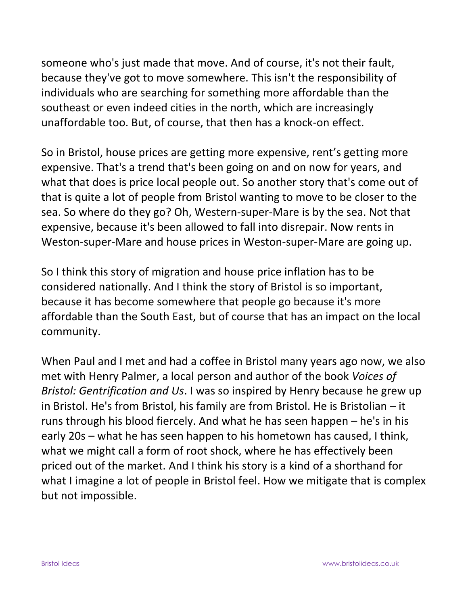someone who's just made that move. And of course, it's not their fault, because they've got to move somewhere. This isn't the responsibility of individuals who are searching for something more affordable than the southeast or even indeed cities in the north, which are increasingly unaffordable too. But, of course, that then has a knock-on effect.

So in Bristol, house prices are getting more expensive, rent's getting more expensive. That's a trend that's been going on and on now for years, and what that does is price local people out. So another story that's come out of that is quite a lot of people from Bristol wanting to move to be closer to the sea. So where do they go? Oh, Western-super-Mare is by the sea. Not that expensive, because it's been allowed to fall into disrepair. Now rents in Weston-super-Mare and house prices in Weston-super-Mare are going up.

So I think this story of migration and house price inflation has to be considered nationally. And I think the story of Bristol is so important, because it has become somewhere that people go because it's more affordable than the South East, but of course that has an impact on the local community.

When Paul and I met and had a coffee in Bristol many years ago now, we also met with Henry Palmer, a local person and author of the book *Voices of Bristol: Gentrification and Us*. I was so inspired by Henry because he grew up in Bristol. He's from Bristol, his family are from Bristol. He is Bristolian – it runs through his blood fiercely. And what he has seen happen – he's in his early 20s – what he has seen happen to his hometown has caused, I think, what we might call a form of root shock, where he has effectively been priced out of the market. And I think his story is a kind of a shorthand for what I imagine a lot of people in Bristol feel. How we mitigate that is complex but not impossible.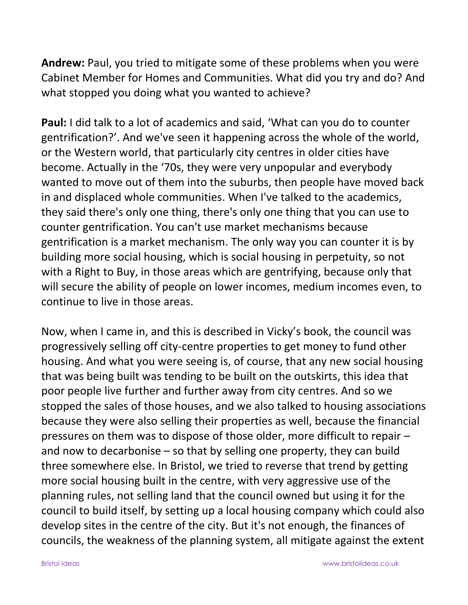**Andrew:** Paul, you tried to mitigate some of these problems when you were Cabinet Member for Homes and Communities. What did you try and do? And what stopped you doing what you wanted to achieve?

**Paul:** I did talk to a lot of academics and said, 'What can you do to counter gentrification?'. And we've seen it happening across the whole of the world, or the Western world, that particularly city centres in older cities have become. Actually in the '70s, they were very unpopular and everybody wanted to move out of them into the suburbs, then people have moved back in and displaced whole communities. When I've talked to the academics, they said there's only one thing, there's only one thing that you can use to counter gentrification. You can't use market mechanisms because gentrification is a market mechanism. The only way you can counter it is by building more social housing, which is social housing in perpetuity, so not with a Right to Buy, in those areas which are gentrifying, because only that will secure the ability of people on lower incomes, medium incomes even, to continue to live in those areas.

Now, when I came in, and this is described in Vicky's book, the council was progressively selling off city-centre properties to get money to fund other housing. And what you were seeing is, of course, that any new social housing that was being built was tending to be built on the outskirts, this idea that poor people live further and further away from city centres. And so we stopped the sales of those houses, and we also talked to housing associations because they were also selling their properties as well, because the financial pressures on them was to dispose of those older, more difficult to repair – and now to decarbonise – so that by selling one property, they can build three somewhere else. In Bristol, we tried to reverse that trend by getting more social housing built in the centre, with very aggressive use of the planning rules, not selling land that the council owned but using it for the council to build itself, by setting up a local housing company which could also develop sites in the centre of the city. But it's not enough, the finances of councils, the weakness of the planning system, all mitigate against the extent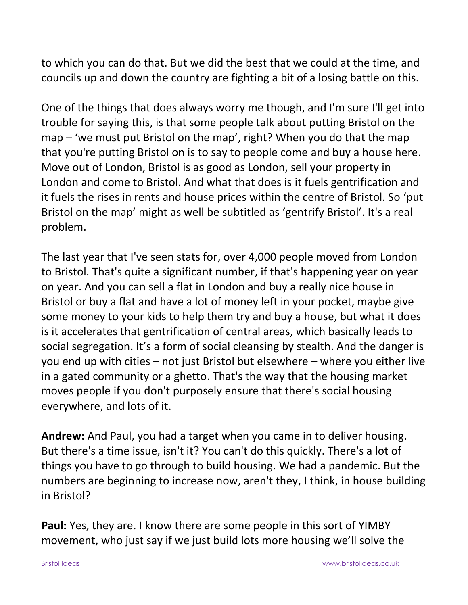to which you can do that. But we did the best that we could at the time, and councils up and down the country are fighting a bit of a losing battle on this.

One of the things that does always worry me though, and I'm sure I'll get into trouble for saying this, is that some people talk about putting Bristol on the map – 'we must put Bristol on the map', right? When you do that the map that you're putting Bristol on is to say to people come and buy a house here. Move out of London, Bristol is as good as London, sell your property in London and come to Bristol. And what that does is it fuels gentrification and it fuels the rises in rents and house prices within the centre of Bristol. So 'put Bristol on the map' might as well be subtitled as 'gentrify Bristol'. It's a real problem.

The last year that I've seen stats for, over 4,000 people moved from London to Bristol. That's quite a significant number, if that's happening year on year on year. And you can sell a flat in London and buy a really nice house in Bristol or buy a flat and have a lot of money left in your pocket, maybe give some money to your kids to help them try and buy a house, but what it does is it accelerates that gentrification of central areas, which basically leads to social segregation. It's a form of social cleansing by stealth. And the danger is you end up with cities – not just Bristol but elsewhere – where you either live in a gated community or a ghetto. That's the way that the housing market moves people if you don't purposely ensure that there's social housing everywhere, and lots of it.

**Andrew:** And Paul, you had a target when you came in to deliver housing. But there's a time issue, isn't it? You can't do this quickly. There's a lot of things you have to go through to build housing. We had a pandemic. But the numbers are beginning to increase now, aren't they, I think, in house building in Bristol?

**Paul:** Yes, they are. I know there are some people in this sort of YIMBY movement, who just say if we just build lots more housing we'll solve the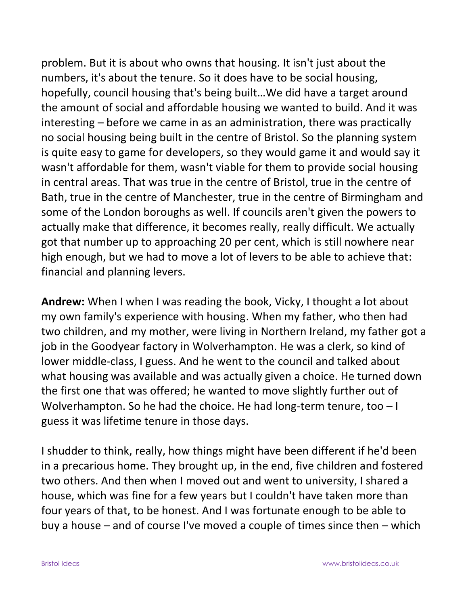problem. But it is about who owns that housing. It isn't just about the numbers, it's about the tenure. So it does have to be social housing, hopefully, council housing that's being built…We did have a target around the amount of social and affordable housing we wanted to build. And it was interesting – before we came in as an administration, there was practically no social housing being built in the centre of Bristol. So the planning system is quite easy to game for developers, so they would game it and would say it wasn't affordable for them, wasn't viable for them to provide social housing in central areas. That was true in the centre of Bristol, true in the centre of Bath, true in the centre of Manchester, true in the centre of Birmingham and some of the London boroughs as well. If councils aren't given the powers to actually make that difference, it becomes really, really difficult. We actually got that number up to approaching 20 per cent, which is still nowhere near high enough, but we had to move a lot of levers to be able to achieve that: financial and planning levers.

**Andrew:** When I when I was reading the book, Vicky, I thought a lot about my own family's experience with housing. When my father, who then had two children, and my mother, were living in Northern Ireland, my father got a job in the Goodyear factory in Wolverhampton. He was a clerk, so kind of lower middle-class, I guess. And he went to the council and talked about what housing was available and was actually given a choice. He turned down the first one that was offered; he wanted to move slightly further out of Wolverhampton. So he had the choice. He had long-term tenure, too - I guess it was lifetime tenure in those days.

I shudder to think, really, how things might have been different if he'd been in a precarious home. They brought up, in the end, five children and fostered two others. And then when I moved out and went to university, I shared a house, which was fine for a few years but I couldn't have taken more than four years of that, to be honest. And I was fortunate enough to be able to buy a house – and of course I've moved a couple of times since then – which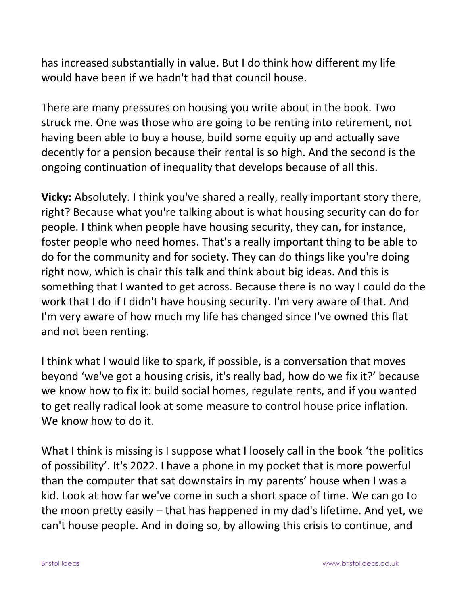has increased substantially in value. But I do think how different my life would have been if we hadn't had that council house.

There are many pressures on housing you write about in the book. Two struck me. One was those who are going to be renting into retirement, not having been able to buy a house, build some equity up and actually save decently for a pension because their rental is so high. And the second is the ongoing continuation of inequality that develops because of all this.

**Vicky:** Absolutely. I think you've shared a really, really important story there, right? Because what you're talking about is what housing security can do for people. I think when people have housing security, they can, for instance, foster people who need homes. That's a really important thing to be able to do for the community and for society. They can do things like you're doing right now, which is chair this talk and think about big ideas. And this is something that I wanted to get across. Because there is no way I could do the work that I do if I didn't have housing security. I'm very aware of that. And I'm very aware of how much my life has changed since I've owned this flat and not been renting.

I think what I would like to spark, if possible, is a conversation that moves beyond 'we've got a housing crisis, it's really bad, how do we fix it?' because we know how to fix it: build social homes, regulate rents, and if you wanted to get really radical look at some measure to control house price inflation. We know how to do it.

What I think is missing is I suppose what I loosely call in the book 'the politics of possibility'. It's 2022. I have a phone in my pocket that is more powerful than the computer that sat downstairs in my parents' house when I was a kid. Look at how far we've come in such a short space of time. We can go to the moon pretty easily – that has happened in my dad's lifetime. And yet, we can't house people. And in doing so, by allowing this crisis to continue, and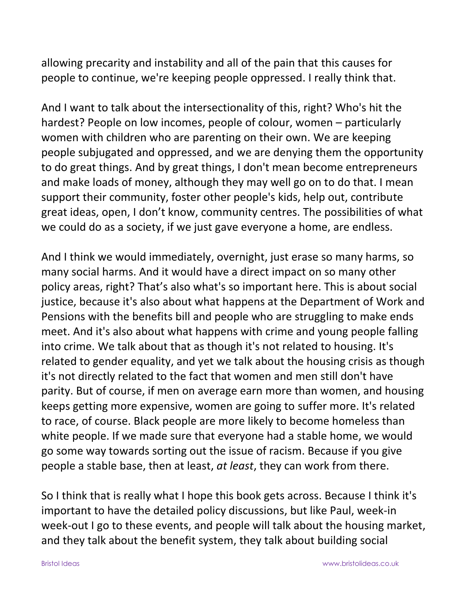allowing precarity and instability and all of the pain that this causes for people to continue, we're keeping people oppressed. I really think that.

And I want to talk about the intersectionality of this, right? Who's hit the hardest? People on low incomes, people of colour, women – particularly women with children who are parenting on their own. We are keeping people subjugated and oppressed, and we are denying them the opportunity to do great things. And by great things, I don't mean become entrepreneurs and make loads of money, although they may well go on to do that. I mean support their community, foster other people's kids, help out, contribute great ideas, open, I don't know, community centres. The possibilities of what we could do as a society, if we just gave everyone a home, are endless.

And I think we would immediately, overnight, just erase so many harms, so many social harms. And it would have a direct impact on so many other policy areas, right? That's also what's so important here. This is about social justice, because it's also about what happens at the Department of Work and Pensions with the benefits bill and people who are struggling to make ends meet. And it's also about what happens with crime and young people falling into crime. We talk about that as though it's not related to housing. It's related to gender equality, and yet we talk about the housing crisis as though it's not directly related to the fact that women and men still don't have parity. But of course, if men on average earn more than women, and housing keeps getting more expensive, women are going to suffer more. It's related to race, of course. Black people are more likely to become homeless than white people. If we made sure that everyone had a stable home, we would go some way towards sorting out the issue of racism. Because if you give people a stable base, then at least, *at least*, they can work from there.

So I think that is really what I hope this book gets across. Because I think it's important to have the detailed policy discussions, but like Paul, week-in week-out I go to these events, and people will talk about the housing market, and they talk about the benefit system, they talk about building social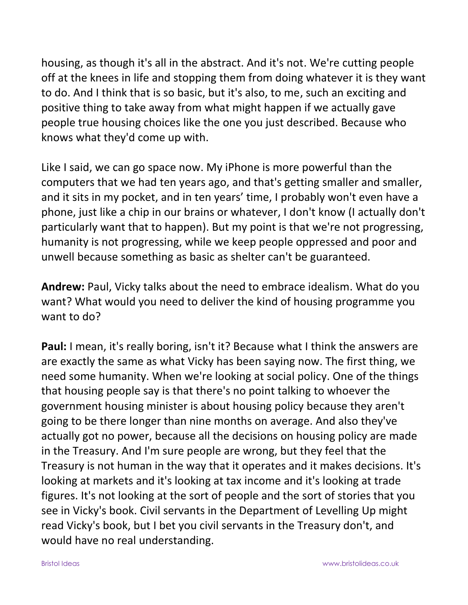housing, as though it's all in the abstract. And it's not. We're cutting people off at the knees in life and stopping them from doing whatever it is they want to do. And I think that is so basic, but it's also, to me, such an exciting and positive thing to take away from what might happen if we actually gave people true housing choices like the one you just described. Because who knows what they'd come up with.

Like I said, we can go space now. My iPhone is more powerful than the computers that we had ten years ago, and that's getting smaller and smaller, and it sits in my pocket, and in ten years' time, I probably won't even have a phone, just like a chip in our brains or whatever, I don't know (I actually don't particularly want that to happen). But my point is that we're not progressing, humanity is not progressing, while we keep people oppressed and poor and unwell because something as basic as shelter can't be guaranteed.

**Andrew:** Paul, Vicky talks about the need to embrace idealism. What do you want? What would you need to deliver the kind of housing programme you want to do?

**Paul:** I mean, it's really boring, isn't it? Because what I think the answers are are exactly the same as what Vicky has been saying now. The first thing, we need some humanity. When we're looking at social policy. One of the things that housing people say is that there's no point talking to whoever the government housing minister is about housing policy because they aren't going to be there longer than nine months on average. And also they've actually got no power, because all the decisions on housing policy are made in the Treasury. And I'm sure people are wrong, but they feel that the Treasury is not human in the way that it operates and it makes decisions. It's looking at markets and it's looking at tax income and it's looking at trade figures. It's not looking at the sort of people and the sort of stories that you see in Vicky's book. Civil servants in the Department of Levelling Up might read Vicky's book, but I bet you civil servants in the Treasury don't, and would have no real understanding.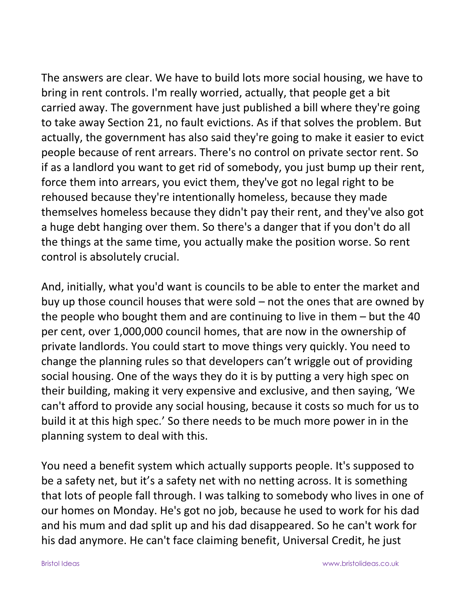The answers are clear. We have to build lots more social housing, we have to bring in rent controls. I'm really worried, actually, that people get a bit carried away. The government have just published a bill where they're going to take away Section 21, no fault evictions. As if that solves the problem. But actually, the government has also said they're going to make it easier to evict people because of rent arrears. There's no control on private sector rent. So if as a landlord you want to get rid of somebody, you just bump up their rent, force them into arrears, you evict them, they've got no legal right to be rehoused because they're intentionally homeless, because they made themselves homeless because they didn't pay their rent, and they've also got a huge debt hanging over them. So there's a danger that if you don't do all the things at the same time, you actually make the position worse. So rent control is absolutely crucial.

And, initially, what you'd want is councils to be able to enter the market and buy up those council houses that were sold – not the ones that are owned by the people who bought them and are continuing to live in them – but the 40 per cent, over 1,000,000 council homes, that are now in the ownership of private landlords. You could start to move things very quickly. You need to change the planning rules so that developers can't wriggle out of providing social housing. One of the ways they do it is by putting a very high spec on their building, making it very expensive and exclusive, and then saying, 'We can't afford to provide any social housing, because it costs so much for us to build it at this high spec.' So there needs to be much more power in in the planning system to deal with this.

You need a benefit system which actually supports people. It's supposed to be a safety net, but it's a safety net with no netting across. It is something that lots of people fall through. I was talking to somebody who lives in one of our homes on Monday. He's got no job, because he used to work for his dad and his mum and dad split up and his dad disappeared. So he can't work for his dad anymore. He can't face claiming benefit, Universal Credit, he just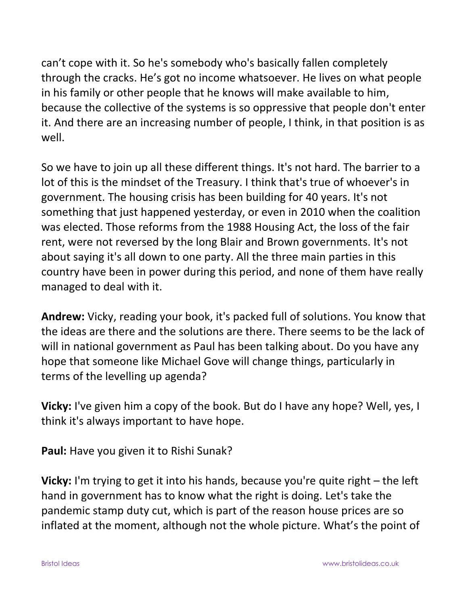can't cope with it. So he's somebody who's basically fallen completely through the cracks. He's got no income whatsoever. He lives on what people in his family or other people that he knows will make available to him, because the collective of the systems is so oppressive that people don't enter it. And there are an increasing number of people, I think, in that position is as well.

So we have to join up all these different things. It's not hard. The barrier to a lot of this is the mindset of the Treasury. I think that's true of whoever's in government. The housing crisis has been building for 40 years. It's not something that just happened yesterday, or even in 2010 when the coalition was elected. Those reforms from the 1988 Housing Act, the loss of the fair rent, were not reversed by the long Blair and Brown governments. It's not about saying it's all down to one party. All the three main parties in this country have been in power during this period, and none of them have really managed to deal with it.

**Andrew:** Vicky, reading your book, it's packed full of solutions. You know that the ideas are there and the solutions are there. There seems to be the lack of will in national government as Paul has been talking about. Do you have any hope that someone like Michael Gove will change things, particularly in terms of the levelling up agenda?

**Vicky:** I've given him a copy of the book. But do I have any hope? Well, yes, I think it's always important to have hope.

**Paul:** Have you given it to Rishi Sunak?

**Vicky:** I'm trying to get it into his hands, because you're quite right – the left hand in government has to know what the right is doing. Let's take the pandemic stamp duty cut, which is part of the reason house prices are so inflated at the moment, although not the whole picture. What's the point of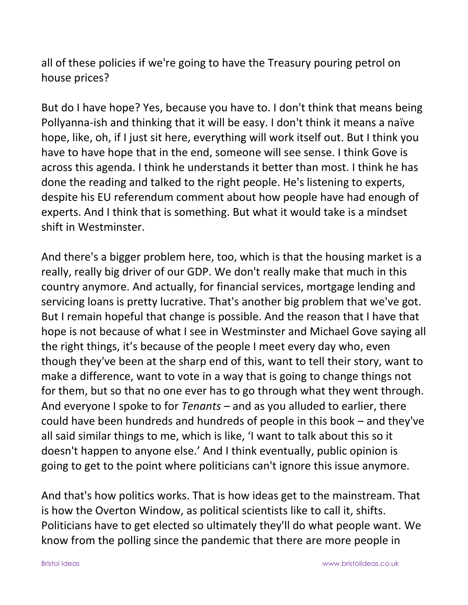all of these policies if we're going to have the Treasury pouring petrol on house prices?

But do I have hope? Yes, because you have to. I don't think that means being Pollyanna-ish and thinking that it will be easy. I don't think it means a naïve hope, like, oh, if I just sit here, everything will work itself out. But I think you have to have hope that in the end, someone will see sense. I think Gove is across this agenda. I think he understands it better than most. I think he has done the reading and talked to the right people. He's listening to experts, despite his EU referendum comment about how people have had enough of experts. And I think that is something. But what it would take is a mindset shift in Westminster.

And there's a bigger problem here, too, which is that the housing market is a really, really big driver of our GDP. We don't really make that much in this country anymore. And actually, for financial services, mortgage lending and servicing loans is pretty lucrative. That's another big problem that we've got. But I remain hopeful that change is possible. And the reason that I have that hope is not because of what I see in Westminster and Michael Gove saying all the right things, it's because of the people I meet every day who, even though they've been at the sharp end of this, want to tell their story, want to make a difference, want to vote in a way that is going to change things not for them, but so that no one ever has to go through what they went through. And everyone I spoke to for *Tenants* – and as you alluded to earlier, there could have been hundreds and hundreds of people in this book – and they've all said similar things to me, which is like, 'I want to talk about this so it doesn't happen to anyone else.' And I think eventually, public opinion is going to get to the point where politicians can't ignore this issue anymore.

And that's how politics works. That is how ideas get to the mainstream. That is how the Overton Window, as political scientists like to call it, shifts. Politicians have to get elected so ultimately they'll do what people want. We know from the polling since the pandemic that there are more people in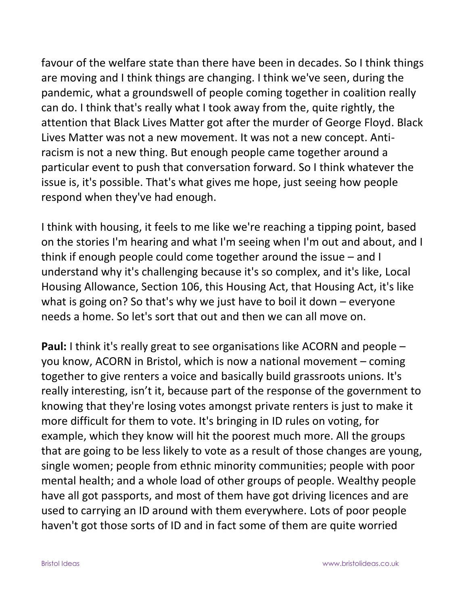favour of the welfare state than there have been in decades. So I think things are moving and I think things are changing. I think we've seen, during the pandemic, what a groundswell of people coming together in coalition really can do. I think that's really what I took away from the, quite rightly, the attention that Black Lives Matter got after the murder of George Floyd. Black Lives Matter was not a new movement. It was not a new concept. Antiracism is not a new thing. But enough people came together around a particular event to push that conversation forward. So I think whatever the issue is, it's possible. That's what gives me hope, just seeing how people respond when they've had enough.

I think with housing, it feels to me like we're reaching a tipping point, based on the stories I'm hearing and what I'm seeing when I'm out and about, and I think if enough people could come together around the issue – and I understand why it's challenging because it's so complex, and it's like, Local Housing Allowance, Section 106, this Housing Act, that Housing Act, it's like what is going on? So that's why we just have to boil it down – everyone needs a home. So let's sort that out and then we can all move on.

**Paul:** I think it's really great to see organisations like ACORN and people – you know, ACORN in Bristol, which is now a national movement – coming together to give renters a voice and basically build grassroots unions. It's really interesting, isn't it, because part of the response of the government to knowing that they're losing votes amongst private renters is just to make it more difficult for them to vote. It's bringing in ID rules on voting, for example, which they know will hit the poorest much more. All the groups that are going to be less likely to vote as a result of those changes are young, single women; people from ethnic minority communities; people with poor mental health; and a whole load of other groups of people. Wealthy people have all got passports, and most of them have got driving licences and are used to carrying an ID around with them everywhere. Lots of poor people haven't got those sorts of ID and in fact some of them are quite worried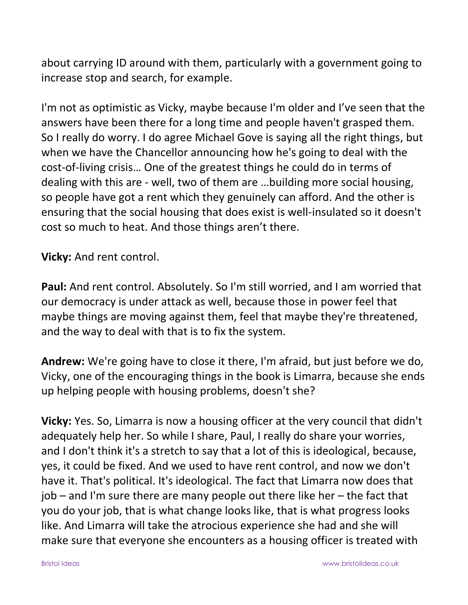about carrying ID around with them, particularly with a government going to increase stop and search, for example.

I'm not as optimistic as Vicky, maybe because I'm older and I've seen that the answers have been there for a long time and people haven't grasped them. So I really do worry. I do agree Michael Gove is saying all the right things, but when we have the Chancellor announcing how he's going to deal with the cost-of-living crisis… One of the greatest things he could do in terms of dealing with this are - well, two of them are …building more social housing, so people have got a rent which they genuinely can afford. And the other is ensuring that the social housing that does exist is well-insulated so it doesn't cost so much to heat. And those things aren't there.

**Vicky:** And rent control.

**Paul:** And rent control. Absolutely. So I'm still worried, and I am worried that our democracy is under attack as well, because those in power feel that maybe things are moving against them, feel that maybe they're threatened, and the way to deal with that is to fix the system.

**Andrew:** We're going have to close it there, I'm afraid, but just before we do, Vicky, one of the encouraging things in the book is Limarra, because she ends up helping people with housing problems, doesn't she?

**Vicky:** Yes. So, Limarra is now a housing officer at the very council that didn't adequately help her. So while I share, Paul, I really do share your worries, and I don't think it's a stretch to say that a lot of this is ideological, because, yes, it could be fixed. And we used to have rent control, and now we don't have it. That's political. It's ideological. The fact that Limarra now does that job – and I'm sure there are many people out there like her – the fact that you do your job, that is what change looks like, that is what progress looks like. And Limarra will take the atrocious experience she had and she will make sure that everyone she encounters as a housing officer is treated with